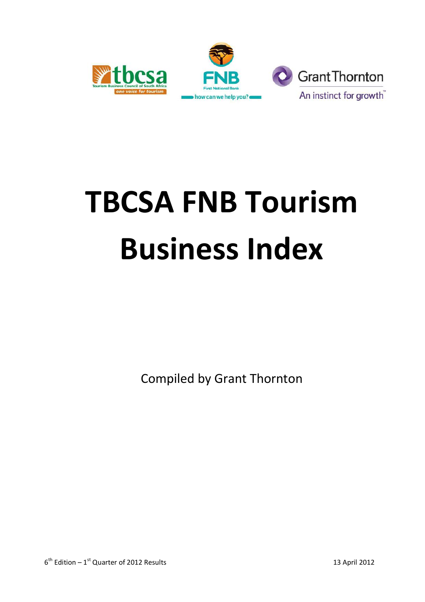





# **TBCSA FNB Tourism Business Index**

Compiled by Grant Thornton

 $6<sup>th</sup>$  Edition – 1<sup>st</sup> Quarter of 2012 Results 13 April 2012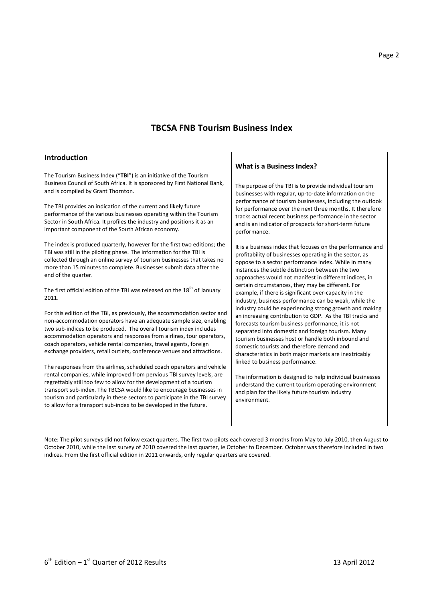### **TBCSA FNB Tourism Business Index**

#### **Introduction**

The Tourism Business Index ("**TBI**") is an initiative of the Tourism Business Council of South Africa. It is sponsored by First National Bank, and is compiled by Grant Thornton.

The TBI provides an indication of the current and likely future performance of the various businesses operating within the Tourism Sector in South Africa. It profiles the industry and positions it as an important component of the South African economy.

The index is produced quarterly, however for the first two editions; the TBI was still in the piloting phase. The information for the TBI is collected through an online survey of tourism businesses that takes no more than 15 minutes to complete. Businesses submit data after the end of the quarter.

The first official edition of the TBI was released on the  $18<sup>th</sup>$  of January 2011.

For this edition of the TBI, as previously, the accommodation sector and non-accommodation operators have an adequate sample size, enabling two sub-indices to be produced. The overall tourism index includes accommodation operators and responses from airlines, tour operators, coach operators, vehicle rental companies, travel agents, foreign exchange providers, retail outlets, conference venues and attractions.

The responses from the airlines, scheduled coach operators and vehicle rental companies, while improved from pervious TBI survey levels, are regrettably still too few to allow for the development of a tourism transport sub-index. The TBCSA would like to encourage businesses in tourism and particularly in these sectors to participate in the TBI survey to allow for a transport sub-index to be developed in the future.

#### **What is a Business Index?**

The purpose of the TBI is to provide individual tourism businesses with regular, up-to-date information on the performance of tourism businesses, including the outlook for performance over the next three months. It therefore tracks actual recent business performance in the sector and is an indicator of prospects for short-term future performance.

It is a business index that focuses on the performance and profitability of businesses operating in the sector, as oppose to a sector performance index. While in many instances the subtle distinction between the two approaches would not manifest in different indices, in certain circumstances, they may be different. For example, if there is significant over-capacity in the industry, business performance can be weak, while the industry could be experiencing strong growth and making an increasing contribution to GDP. As the TBI tracks and forecasts tourism business performance, it is not separated into domestic and foreign tourism. Many tourism businesses host or handle both inbound and domestic tourists and therefore demand and characteristics in both major markets are inextricably linked to business performance.

The information is designed to help individual businesses understand the current tourism operating environment and plan for the likely future tourism industry environment.

Note: The pilot surveys did not follow exact quarters. The first two pilots each covered 3 months from May to July 2010, then August to October 2010, while the last survey of 2010 covered the last quarter, ie October to December. October was therefore included in two indices. From the first official edition in 2011 onwards, only regular quarters are covered.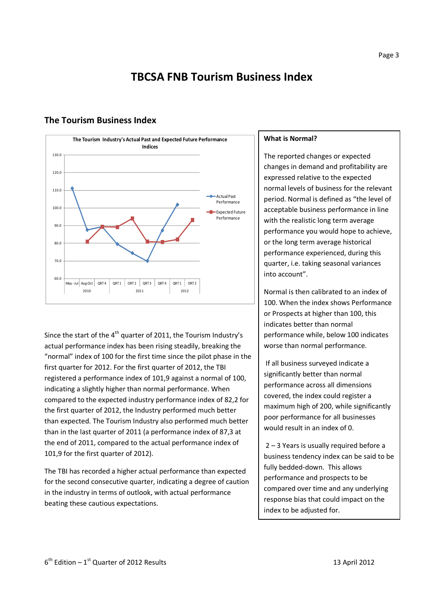# **TBCSA FNB Tourism Business Index**

# **The Tourism Business Index**

Since the start of the  $4<sup>th</sup>$  quarter of 2011, the Tourism Industry's actual performance index has been rising steadily, breaking the "normal" index of 100 for the first time since the pilot phase in the first quarter for 2012. For the first quarter of 2012, the TBI registered a performance index of 101,9 against a normal of 100, indicating a slightly higher than normal performance. When compared to the expected industry performance index of 82,2 for the first quarter of 2012, the Industry performed much better than expected. The Tourism Industry also performed much better than in the last quarter of 2011 (a performance index of 87,3 at the end of 2011, compared to the actual performance index of 101,9 for the first quarter of 2012).

The TBI has recorded a higher actual performance than expected for the second consecutive quarter, indicating a degree of caution in the industry in terms of outlook, with actual performance beating these cautious expectations.

#### **What is Normal?**

The reported changes or expected changes in demand and profitability are expressed relative to the expected normal levels of business for the relevant period. Normal is defined as "the level of acceptable business performance in line with the realistic long term average performance you would hope to achieve, or the long term average historical performance experienced, during this quarter, i.e. taking seasonal variances into account".

Normal is then calibrated to an index of 100. When the index shows Performance or Prospects at higher than 100, this indicates better than normal performance while, below 100 indicates worse than normal performance.

 If all business surveyed indicate a significantly better than normal performance across all dimensions covered, the index could register a maximum high of 200, while significantly poor performance for all businesses would result in an index of 0.

 2 – 3 Years is usually required before a business tendency index can be said to be fully bedded-down. This allows performance and prospects to be compared over time and any underlying response bias that could impact on the index to be adjusted for.

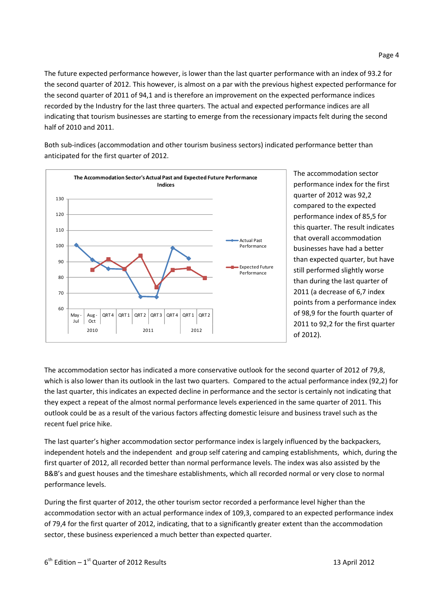The future expected performance however, is lower than the last quarter performance with an index of 93.2 for the second quarter of 2012. This however, is almost on a par with the previous highest expected performance for the second quarter of 2011 of 94,1 and is therefore an improvement on the expected performance indices recorded by the Industry for the last three quarters. The actual and expected performance indices are all indicating that tourism businesses are starting to emerge from the recessionary impacts felt during the second half of 2010 and 2011.

Both sub-indices (accommodation and other tourism business sectors) indicated performance better than anticipated for the first quarter of 2012.



The accommodation sector performance index for the first quarter of 2012 was 92,2 compared to the expected performance index of 85,5 for this quarter. The result indicates that overall accommodation businesses have had a better than expected quarter, but have still performed slightly worse than during the last quarter of 2011 (a decrease of 6,7 index points from a performance index of 98,9 for the fourth quarter of 2011 to 92,2 for the first quarter of 2012).

The accommodation sector has indicated a more conservative outlook for the second quarter of 2012 of 79,8, which is also lower than its outlook in the last two quarters. Compared to the actual performance index (92,2) for the last quarter, this indicates an expected decline in performance and the sector is certainly not indicating that they expect a repeat of the almost normal performance levels experienced in the same quarter of 2011. This outlook could be as a result of the various factors affecting domestic leisure and business travel such as the recent fuel price hike.

The last quarter's higher accommodation sector performance index is largely influenced by the backpackers, independent hotels and the independent and group self catering and camping establishments, which, during the first quarter of 2012, all recorded better than normal performance levels. The index was also assisted by the B&B's and guest houses and the timeshare establishments, which all recorded normal or very close to normal performance levels.

During the first quarter of 2012, the other tourism sector recorded a performance level higher than the accommodation sector with an actual performance index of 109,3, compared to an expected performance index of 79,4 for the first quarter of 2012, indicating, that to a significantly greater extent than the accommodation sector, these business experienced a much better than expected quarter.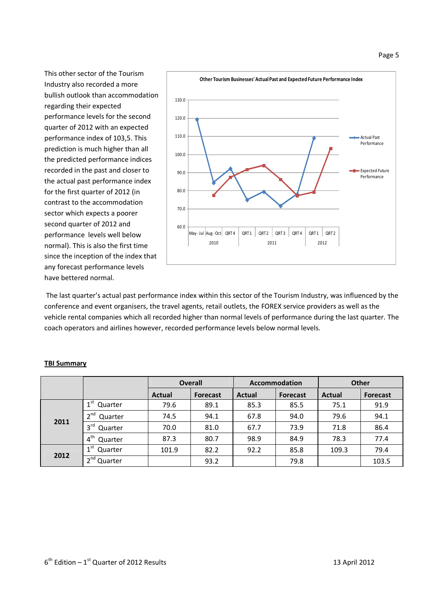This other sector of the Tourism Industry also recorded a more bullish outlook than accommodation regarding their expected performance levels for the second quarter of 2012 with an expected performance index of 103,5. This prediction is much higher than all the predicted performance indices recorded in the past and closer to the actual past performance index for the first quarter of 2012 (in contrast to the accommodation sector which expects a poorer second quarter of 2012 and performance levels well below normal). This is also the first time since the inception of the index that any forecast performance levels have bettered normal.



 The last quarter's actual past performance index within this sector of the Tourism Industry, was influenced by the conference and event organisers, the travel agents, retail outlets, the FOREX service providers as well as the vehicle rental companies which all recorded higher than normal levels of performance during the last quarter. The coach operators and airlines however, recorded performance levels below normal levels.

|      |                            |               | <b>Overall</b> |               | <b>Accommodation</b> | <b>Other</b> |                 |  |
|------|----------------------------|---------------|----------------|---------------|----------------------|--------------|-----------------|--|
|      |                            | <b>Actual</b> | Forecast       | <b>Actual</b> | <b>Forecast</b>      | Actual       | <b>Forecast</b> |  |
| 2011 | $1^{\rm st}$<br>Quarter    | 79.6          | 89.1           | 85.3          | 85.5                 | 75.1         | 91.9            |  |
|      | 2 <sup>nd</sup><br>Quarter | 74.5          | 94.1           | 67.8          | 94.0                 | 79.6         | 94.1            |  |
|      | $3^{\text{rd}}$<br>Quarter | 70.0          | 81.0           | 67.7          | 73.9                 | 71.8         | 86.4            |  |
|      | $4^{\text{th}}$<br>Quarter | 87.3          | 80.7           | 98.9          | 84.9                 | 78.3         | 77.4            |  |
| 2012 | 1 <sup>st</sup><br>Quarter | 101.9         | 82.2           | 92.2          | 85.8                 | 109.3        | 79.4            |  |
|      | 2 <sup>nd</sup><br>Quarter |               | 93.2           |               | 79.8                 |              | 103.5           |  |

#### **TBI Summary**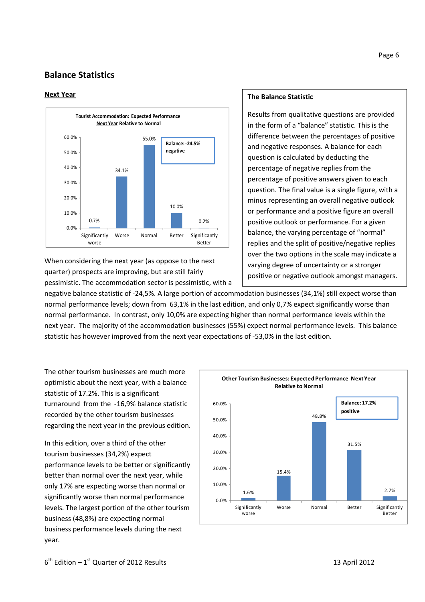# **Balance Statistics**

#### **Next Year**



When considering the next year (as oppose to the next quarter) prospects are improving, but are still fairly pessimistic. The accommodation sector is pessimistic, with a

#### **The Balance Statistic**

Results from qualitative questions are provided in the form of a "balance" statistic. This is the difference between the percentages of positive and negative responses. A balance for each question is calculated by deducting the percentage of negative replies from the percentage of positive answers given to each question. The final value is a single figure, with a minus representing an overall negative outlook or performance and a positive figure an overall positive outlook or performance. For a given balance, the varying percentage of "normal" replies and the split of positive/negative replies over the two options in the scale may indicate a varying degree of uncertainty or a stronger positive or negative outlook amongst managers.

negative balance statistic of -24,5%. A large portion of accommodation businesses (34,1%) still expect worse than normal performance levels; down from 63,1% in the last edition, and only 0,7% expect significantly worse than normal performance. In contrast, only 10,0% are expecting higher than normal performance levels within the next year. The majority of the accommodation businesses (55%) expect normal performance levels. This balance statistic has however improved from the next year expectations of -53,0% in the last edition.

The other tourism businesses are much more optimistic about the next year, with a balance statistic of 17.2%. This is a significant turnaround from the -16,9% balance statistic recorded by the other tourism businesses regarding the next year in the previous edition.

In this edition, over a third of the other tourism businesses (34,2%) expect performance levels to be better or significantly better than normal over the next year, while only 17% are expecting worse than normal or significantly worse than normal performance levels. The largest portion of the other tourism business (48,8%) are expecting normal business performance levels during the next year.

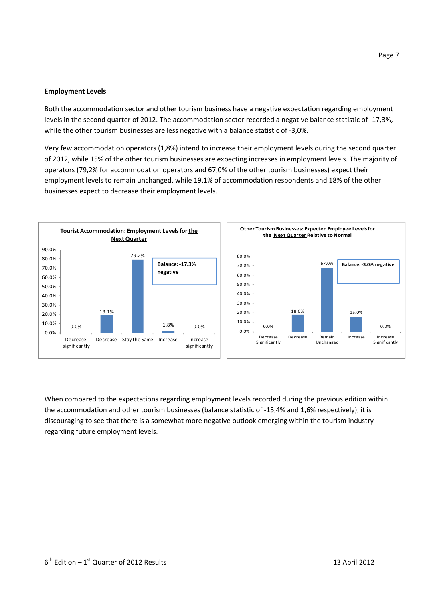#### **Employment Levels**

Both the accommodation sector and other tourism business have a negative expectation regarding employment levels in the second quarter of 2012. The accommodation sector recorded a negative balance statistic of -17,3%, while the other tourism businesses are less negative with a balance statistic of -3,0%.

Very few accommodation operators (1,8%) intend to increase their employment levels during the second quarter of 2012, while 15% of the other tourism businesses are expecting increases in employment levels. The majority of operators (79,2% for accommodation operators and 67,0% of the other tourism businesses) expect their employment levels to remain unchanged, while 19,1% of accommodation respondents and 18% of the other businesses expect to decrease their employment levels.



When compared to the expectations regarding employment levels recorded during the previous edition within the accommodation and other tourism businesses (balance statistic of -15,4% and 1,6% respectively), it is discouraging to see that there is a somewhat more negative outlook emerging within the tourism industry regarding future employment levels.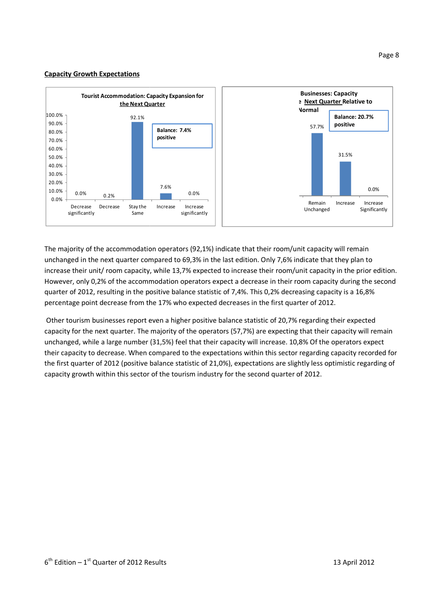#### **Capacity Growth Expectations**



The majority of the accommodation operators (92,1%) indicate that their room/unit capacity will remain unchanged in the next quarter compared to 69,3% in the last edition. Only 7,6% indicate that they plan to unchanged in the next quarter compared to 69,3% in the last edition. Only 7,6% indicate that they plan to<br>increase their unit/ room capacity, while 13,7% expected to increase their room/unit capacity in the prior edition. However, only 0,2% of the accommodation operators expect a decrease in their room capacity during the second quarter of 2012, resulting in the positive balance statistic of 7,4%. This 0,2% decreasing capacity is a 16,8% percentage point decrease from the 17% who expected decreases in the first quarter of 2012.

Other tourism businesses report even a higher positive balance statistic of 20,7% regarding their expected capacity for the next quarter. The majority of the operators (57,7%) are expecting that their capacity will remain unchanged, while a large number (31,5%) feel that their capacity will increase. 10,8 their capacity to decrease. When compared to the expectations within this sector regarding capacity recorded for the first quarter of 2012 (positive balance statistic of 21,0%), expectations are slightly less optimistic regarding of capacity growth within this sector of the tourism industry for the second quarter of 2012. of 2012.<br>
Solid the first quarter of 2012.<br>
Solid the operator expected<br>
Solid are expecting that their capacity will remar<br>
will increase. 10,8% Of the operators expect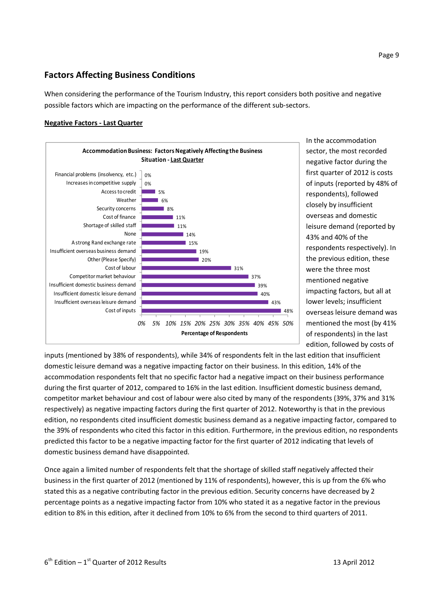# **Factors Affecting Business Conditions**

When considering the performance of the Tourism Industry, this report considers both positive and negative possible factors which are impacting on the performance of the different sub-sectors.

#### **Negative Factors - Last Quarter**



In the accommodation sector, the most recorded negative factor during the first quarter of 2012 is costs of inputs (reported by 48% of respondents), followed closely by insufficient overseas and domestic leisure demand (reported by 43% and 40% of the respondents respectively). In the previous edition, these were the three most mentioned negative impacting factors, but all at lower levels; insufficient overseas leisure demand was mentioned the most (by 41% of respondents) in the last edition, followed by costs of

inputs (mentioned by 38% of respondents), while 34% of respondents felt in the last edition that insufficient domestic leisure demand was a negative impacting factor on their business. In this edition, 14% of the accommodation respondents felt that no specific factor had a negative impact on their business performance during the first quarter of 2012, compared to 16% in the last edition. Insufficient domestic business demand, competitor market behaviour and cost of labour were also cited by many of the respondents (39%, 37% and 31% respectively) as negative impacting factors during the first quarter of 2012. Noteworthy is that in the previous edition, no respondents cited insufficient domestic business demand as a negative impacting factor, compared to the 39% of respondents who cited this factor in this edition. Furthermore, in the previous edition, no respondents predicted this factor to be a negative impacting factor for the first quarter of 2012 indicating that levels of domestic business demand have disappointed.

Once again a limited number of respondents felt that the shortage of skilled staff negatively affected their business in the first quarter of 2012 (mentioned by 11% of respondents), however, this is up from the 6% who stated this as a negative contributing factor in the previous edition. Security concerns have decreased by 2 percentage points as a negative impacting factor from 10% who stated it as a negative factor in the previous edition to 8% in this edition, after it declined from 10% to 6% from the second to third quarters of 2011.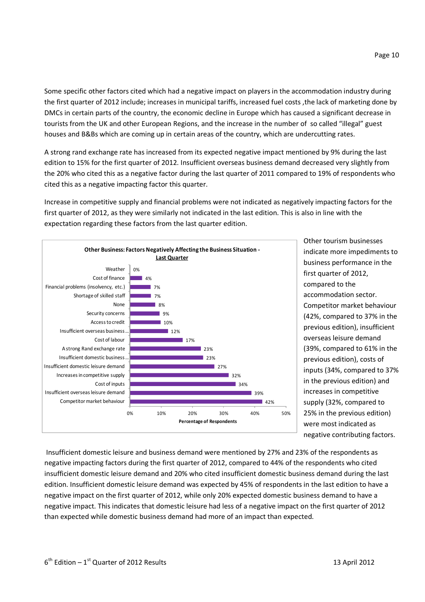Page 10

Some specific other factors cited which had a negative impact on players in the accommodation industry during the first quarter of 2012 include; increases in municipal tariffs, increased fuel costs ,the lack of marketing done by DMCs in certain parts of the country, the economic decline in Europe which has caused a significant decrease in tourists from the UK and other European Regions, and the increase in the number of so called "illegal" guest houses and B&Bs which are coming up in certain areas of the country, which are undercutting rates.

A strong rand exchange rate has increased from its expected negative impact mentioned by 9% during the last edition to 15% for the first quarter of 2012. Insufficient overseas business demand decreased very slightly from the 20% who cited this as a negative factor during the last quarter of 2011 compared to 19% of respondents who cited this as a negative impacting factor this quarter.

Increase in competitive supply and financial problems were not indicated as negatively impacting factors for the first quarter of 2012, as they were similarly not indicated in the last edition. This is also in line with the expectation regarding these factors from the last quarter edition.



Other tourism businesses indicate more impediments to business performance in the first quarter of 2012, compared to the accommodation sector. Competitor market behaviour (42%, compared to 37% in the previous edition), insufficient overseas leisure demand (39%, compared to 61% in the previous edition), costs of inputs (34%, compared to 37% in the previous edition) and increases in competitive supply (32%, compared to 25% in the previous edition) were most indicated as negative contributing factors.

 Insufficient domestic leisure and business demand were mentioned by 27% and 23% of the respondents as negative impacting factors during the first quarter of 2012, compared to 44% of the respondents who cited insufficient domestic leisure demand and 20% who cited insufficient domestic business demand during the last edition. Insufficient domestic leisure demand was expected by 45% of respondents in the last edition to have a negative impact on the first quarter of 2012, while only 20% expected domestic business demand to have a negative impact. This indicates that domestic leisure had less of a negative impact on the first quarter of 2012 than expected while domestic business demand had more of an impact than expected.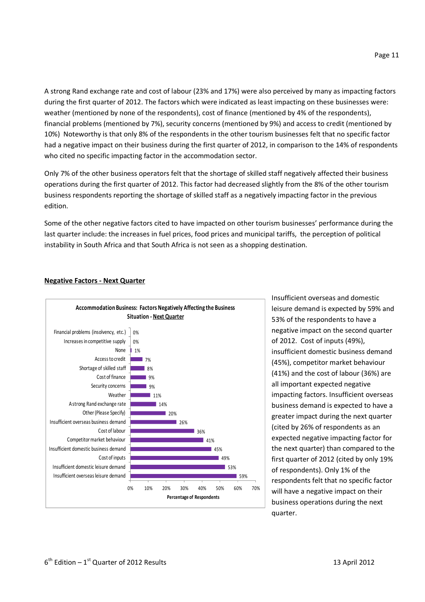A strong Rand exchange rate and cost of labour (23% and 17%) were also perceived by many as impacting factors during the first quarter of 2012. The factors which were indicated as least impacting on these businesses were: weather (mentioned by none of the respondents), cost of finance (mentioned by 4% of the respondents), financial problems (mentioned by 7%), security concerns (mentioned by 9%) and access to credit (mentioned by 10%) Noteworthy is that only 8% of the respondents in the other tourism businesses felt that no specific factor had a negative impact on their business during the first quarter of 2012, in comparison to the 14% of respondents who cited no specific impacting factor in the accommodation sector.

Only 7% of the other business operators felt that the shortage of skilled staff negatively affected their business operations during the first quarter of 2012. This factor had decreased slightly from the 8% of the other tourism business respondents reporting the shortage of skilled staff as a negatively impacting factor in the previous edition.

Some of the other negative factors cited to have impacted on other tourism businesses' performance during the last quarter include: the increases in fuel prices, food prices and municipal tariffs, the perception of political instability in South Africa and that South Africa is not seen as a shopping destination.



#### **Negative Factors - Next Quarter**

Insufficient overseas and domestic leisure demand is expected by 59% and 53% of the respondents to have a negative impact on the second quarter of 2012. Cost of inputs (49%), insufficient domestic business demand (45%), competitor market behaviour (41%) and the cost of labour (36%) are all important expected negative impacting factors. Insufficient overseas business demand is expected to have a greater impact during the next quarter (cited by 26% of respondents as an expected negative impacting factor for the next quarter) than compared to the first quarter of 2012 (cited by only 19% of respondents). Only 1% of the respondents felt that no specific factor will have a negative impact on their business operations during the next quarter.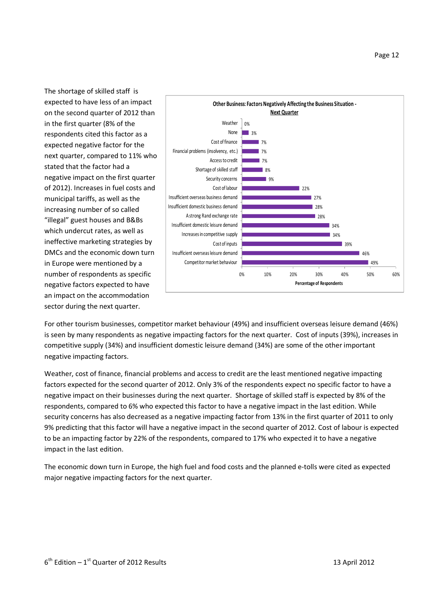The shortage of skilled staff is expected to have less of an impact on the second quarter of 2012 than in the first quarter (8% of the respondents cited this factor as a expected negative factor for the next quarter, compared to 11% who stated that the factor had a negative impact on the first quarter of 2012). Increases in fuel costs and municipal tariffs, as well as the increasing number of so called "illegal" guest houses and B&Bs which undercut rates, as well as ineffective marketing strategies by DMCs and the economic down turn in Europe were mentioned by a number of respondents as specific negative factors expected to have an impact on the accommodation sector during the next quarter.



For other tourism businesses, competitor market behaviour (49%) and insufficient overseas leisure demand (46%) is seen by many respondents as negative impacting factors for the next quarter. Cost of inputs (39%), increases in competitive supply (34%) and insufficient domestic leisure demand (34%) are some of the other important negative impacting factors.

Weather, cost of finance, financial problems and access to credit are the least mentioned negative impacting factors expected for the second quarter of 2012. Only 3% of the respondents expect no specific factor to have a negative impact on their businesses during the next quarter. Shortage of skilled staff is expected by 8% of the respondents, compared to 6% who expected this factor to have a negative impact in the last edition. While security concerns has also decreased as a negative impacting factor from 13% in the first quarter of 2011 to only 9% predicting that this factor will have a negative impact in the second quarter of 2012. Cost of labour is expected to be an impacting factor by 22% of the respondents, compared to 17% who expected it to have a negative impact in the last edition.

The economic down turn in Europe, the high fuel and food costs and the planned e-tolls were cited as expected major negative impacting factors for the next quarter.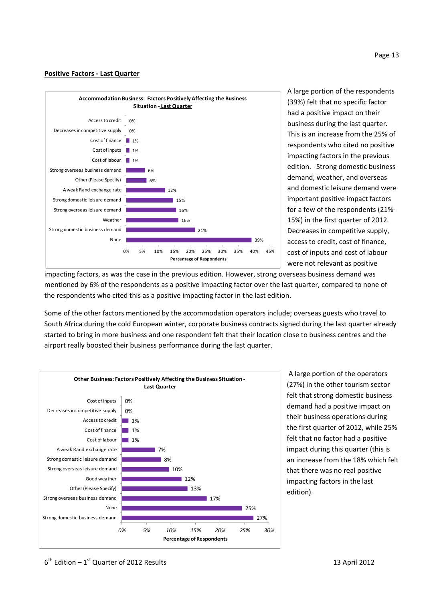#### **Positive Factors - Last Quarter**



A large portion of the respondents (39%) felt that no specific factor had a positive impact on their business during the last quarter. This is an increase from the 25% of respondents who cited no positive impacting factors in the previous edition. Strong domestic business demand, weather, and overseas and domestic leisure demand were important positive impact factors for a few of the respondents (21%- 15%) in the first quarter of 2012. Decreases in competitive supply, access to credit, cost of finance, cost of inputs and cost of labour were not relevant as positive

impacting factors, as was the case in the previous edition. However, strong overseas business demand was mentioned by 6% of the respondents as a positive impacting factor over the last quarter, compared to none of the respondents who cited this as a positive impacting factor in the last edition.

Some of the other factors mentioned by the accommodation operators include; overseas guests who travel to South Africa during the cold European winter, corporate business contracts signed during the last quarter already started to bring in more business and one respondent felt that their location close to business centres and the airport really boosted their business performance during the last quarter.



 A large portion of the operators (27%) in the other tourism sector felt that strong domestic business demand had a positive impact on their business operations during the first quarter of 2012, while 25% felt that no factor had a positive impact during this quarter (this is an increase from the 18% which felt that there was no real positive impacting factors in the last edition).

 $6<sup>th</sup>$  Edition – 1<sup>st</sup> Quarter of 2012 Results 13 April 2012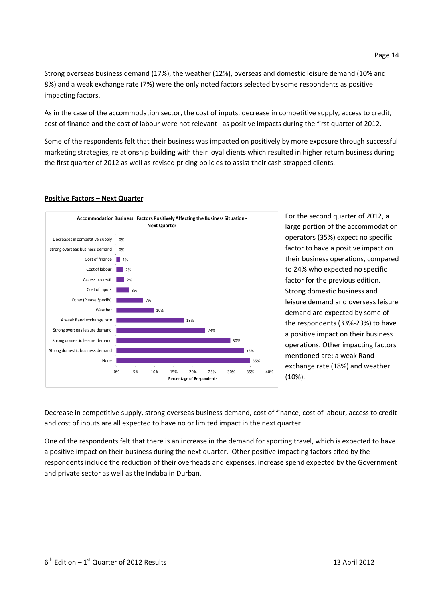Strong overseas business demand (17%), the weather (12%), overseas and domestic leisure demand (10% and 8%) and a weak exchange rate (7%) were the only noted factors selected by some respondents as positive impacting factors.

As in the case of the accommodation sector, the cost of inputs, decrease in competitive supply, access to credit, cost of finance and the cost of labour were not relevant as positive impacts during the first quarter of 2012.

Some of the respondents felt that their business was impacted on positively by more exposure through successful marketing strategies, relationship building with their loyal clients which resulted in higher return business during the first quarter of 2012 as well as revised pricing policies to assist their cash strapped clients.

#### **Positive Factors – Next Quarter**



For the second quarter of 2012, a large portion of the accommodation operators (35%) expect no specific factor to have a positive impact on their business operations, compared to 24% who expected no specific factor for the previous edition. Strong domestic business and leisure demand and overseas leisure demand are expected by some of the respondents (33%-23%) to have a positive impact on their business operations. Other impacting factors mentioned are; a weak Rand exchange rate (18%) and weather (10%).

Decrease in competitive supply, strong overseas business demand, cost of finance, cost of labour, access to credit and cost of inputs are all expected to have no or limited impact in the next quarter.

One of the respondents felt that there is an increase in the demand for sporting travel, which is expected to have a positive impact on their business during the next quarter. Other positive impacting factors cited by the respondents include the reduction of their overheads and expenses, increase spend expected by the Government and private sector as well as the Indaba in Durban.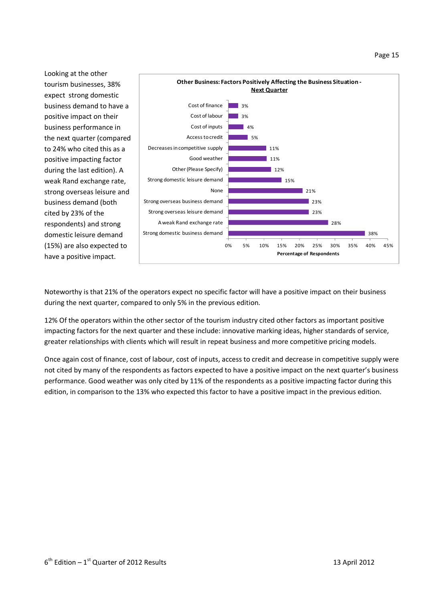Looking at the other tourism businesses, 38% expect strong domestic business demand to have a positive impact on their business performance in the next quarter (compared to 24% who cited this as a positive impacting factor during the last edition). A weak Rand exchange rate, strong overseas leisure and business demand (both cited by 23% of the respondents) and strong domestic leisure demand (15%) are also expected to have a positive impact.



Noteworthy is that 21% of the operators expect no specific factor will have a positive impact on their business during the next quarter, compared to only 5% in the previous edition.

12% Of the operators within the other sector of the tourism industry cited other factors as important positive impacting factors for the next quarter and these include: innovative marking ideas, higher standards of service, greater relationships with clients which will result in repeat business and more competitive pricing models.

Once again cost of finance, cost of labour, cost of inputs, access to credit and decrease in competitive supply were not cited by many of the respondents as factors expected to have a positive impact on the next quarter's business performance. Good weather was only cited by 11% of the respondents as a positive impacting factor during this edition, in comparison to the 13% who expected this factor to have a positive impact in the previous edition.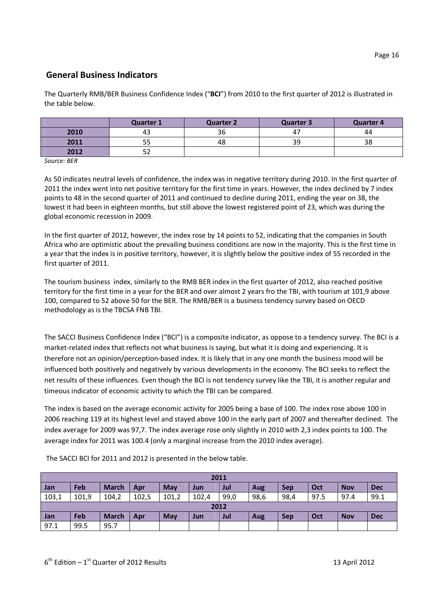# **General Business Indicators**

The Quarterly RMB/BER Business Confidence Index ("**BCI**") from 2010 to the first quarter of 2012 is illustrated in the table below.

|      | <b>Quarter 1</b> | <b>Quarter 2</b> | Quarter 3 | <b>Quarter 4</b> |
|------|------------------|------------------|-----------|------------------|
| 2010 | 43               | 36               | 47        | 44               |
| 2011 | r r<br>ככ        | 48               | 39        | 38               |
| 2012 | - -<br>ےر        |                  |           |                  |

*Source: BER* 

As 50 indicates neutral levels of confidence, the index was in negative territory during 2010. In the first quarter of 2011 the index went into net positive territory for the first time in years. However, the index declined by 7 index points to 48 in the second quarter of 2011 and continued to decline during 2011, ending the year on 38, the lowest it had been in eighteen months, but still above the lowest registered point of 23, which was during the global economic recession in 2009.

In the first quarter of 2012, however, the index rose by 14 points to 52, indicating that the companies in South Africa who are optimistic about the prevailing business conditions are now in the majority. This is the first time in a year that the index is in positive territory, however, it is slightly below the positive index of 55 recorded in the first quarter of 2011.

The tourism business index, similarly to the RMB BER index in the first quarter of 2012, also reached positive territory for the first time in a year for the BER and over almost 2 years fro the TBI, with tourism at 101,9 above 100, compared to 52 above 50 for the BER. The RMB/BER is a business tendency survey based on OECD methodology as is the TBCSA FNB TBI.

The SACCI Business Confidence Index ("BCI") is a composite indicator, as oppose to a tendency survey. The BCI is a market-related index that reflects not what business is saying, but what it is doing and experiencing. It is therefore not an opinion/perception-based index. It is likely that in any one month the business mood will be influenced both positively and negatively by various developments in the economy. The BCI seeks to reflect the net results of these influences. Even though the BCI is not tendency survey like the TBI, it is another regular and timeous indicator of economic activity to which the TBI can be compared.

The index is based on the average economic activity for 2005 being a base of 100. The index rose above 100 in 2006 reaching 119 at its highest level and stayed above 100 in the early part of 2007 and thereafter declined. The index average for 2009 was 97,7. The index average rose only slightly in 2010 with 2,3 index points to 100. The average index for 2011 was 100.4 (only a marginal increase from the 2010 index average).

| 2011  |       |              |       |       |       |      |            |            |      |            |            |
|-------|-------|--------------|-------|-------|-------|------|------------|------------|------|------------|------------|
| Jan   | Feb   | <b>March</b> | Apr   | May   | Jun   | Jul  | <b>Aug</b> | <b>Sep</b> | Oct  | <b>Nov</b> | <b>Dec</b> |
| 103,1 | 101,9 | 104,2        | 102,5 | 101,2 | 102,4 | 99,0 | 98,6       | 98,4       | 97.5 | 97.4       | 99.1       |
| 2012  |       |              |       |       |       |      |            |            |      |            |            |
| Jan   | Feb   | <b>March</b> | Apr   | May   | Jun   | Jul  | Aug        | <b>Sep</b> | Oct  | <b>Nov</b> | <b>Dec</b> |
| 97.1  | 99.5  | 95.7         |       |       |       |      |            |            |      |            |            |

The SACCI BCI for 2011 and 2012 is presented in the below table.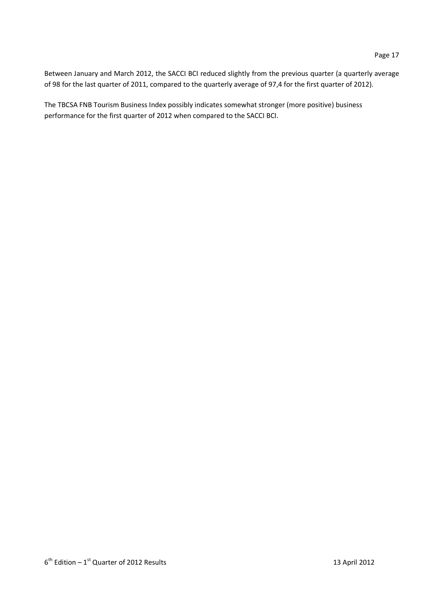Between January and March 2012, the SACCI BCI reduced slightly from the previous quarter (a quarterly average of 98 for the last quarter of 2011, compared to the quarterly average of 97,4 for the first quarter of 2012).

The TBCSA FNB Tourism Business Index possibly indicates somewhat stronger (more positive) business performance for the first quarter of 2012 when compared to the SACCI BCI.